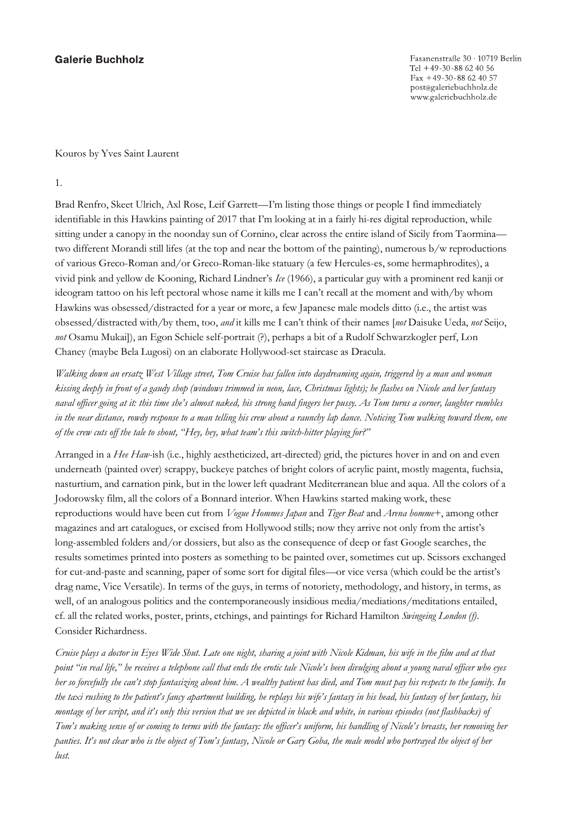## **Galerie Buchholz**

Kouros by Yves Saint Laurent

1.

Brad Renfro, Skeet Ulrich, Axl Rose, Leif Garrett—I'm listing those things or people I find immediately identifiable in this Hawkins painting of 2017 that I'm looking at in a fairly hi-res digital reproduction, while sitting under a canopy in the noonday sun of Cornino, clear across the entire island of Sicily from Taormina two different Morandi still lifes (at the top and near the bottom of the painting), numerous b/w reproductions of various Greco-Roman and/or Greco-Roman-like statuary (a few Hercules-es, some hermaphrodites), a vivid pink and yellow de Kooning, Richard Lindner's *Ice* (1966), a particular guy with a prominent red kanji or ideogram tattoo on his left pectoral whose name it kills me I can't recall at the moment and with/by whom Hawkins was obsessed/distracted for a year or more, a few Japanese male models ditto (i.e., the artist was obsessed/distracted with/by them, too, *and* it kills me I can't think of their names [*not* Daisuke Ueda, *not* Seijo, *not* Osamu Mukai]), an Egon Schiele self-portrait (?), perhaps a bit of a Rudolf Schwarzkogler perf, Lon Chaney (maybe Bela Lugosi) on an elaborate Hollywood-set staircase as Dracula.

*Walking down an ersatz West Village street, Tom Cruise has fallen into daydreaming again, triggered by a man and woman kissing deeply in front of a gaudy shop (windows trimmed in neon, lace, Christmas lights); he flashes on Nicole and her fantasy naval officer going at it: this time she's almost naked, his strong hand fingers her pussy. As Tom turns a corner, laughter rumbles in the near distance, rowdy response to a man telling his crew about a raunchy lap dance. Noticing Tom walking toward them, one of the crew cuts off the tale to shout, "Hey, hey, what team's this switch-hitter playing for?"* 

Arranged in a *Hee Haw*-ish (i.e., highly aestheticized, art-directed) grid, the pictures hover in and on and even underneath (painted over) scrappy, buckeye patches of bright colors of acrylic paint, mostly magenta, fuchsia, nasturtium, and carnation pink, but in the lower left quadrant Mediterranean blue and aqua. All the colors of a Jodorowsky film, all the colors of a Bonnard interior. When Hawkins started making work, these reproductions would have been cut from *Vogue Hommes Japan* and *Tiger Beat* and *Arena homme+*, among other magazines and art catalogues, or excised from Hollywood stills; now they arrive not only from the artist's long-assembled folders and/or dossiers, but also as the consequence of deep or fast Google searches, the results sometimes printed into posters as something to be painted over, sometimes cut up. Scissors exchanged for cut-and-paste and scanning, paper of some sort for digital files—or vice versa (which could be the artist's drag name, Vice Versatile). In terms of the guys, in terms of notoriety, methodology, and history, in terms, as well, of an analogous politics and the contemporaneously insidious media/mediations/meditations entailed, cf. all the related works, poster, prints, etchings, and paintings for Richard Hamilton *Swingeing London (f)*. Consider Richardness.

*Cruise plays a doctor in Eyes Wide Shut. Late one night, sharing a joint with Nicole Kidman, his wife in the film and at that point "in real life," he receives a telephone call that ends the erotic tale Nicole's been divulging about a young naval officer who eyes her so forcefully she can't stop fantasizing about him. A wealthy patient has died, and Tom must pay his respects to the family. In the taxi rushing to the patient's fancy apartment building, he replays his wife's fantasy in his head, his fantasy of her fantasy, his montage of her script, and it's only this version that we see depicted in black and white, in various episodes (not flashbacks) of Tom's making sense of or coming to terms with the fantasy: the officer's uniform, his handling of Nicole's breasts, her removing her panties. It's not clear who is the object of Tom's fantasy, Nicole or Gary Goba, the male model who portrayed the object of her lust.*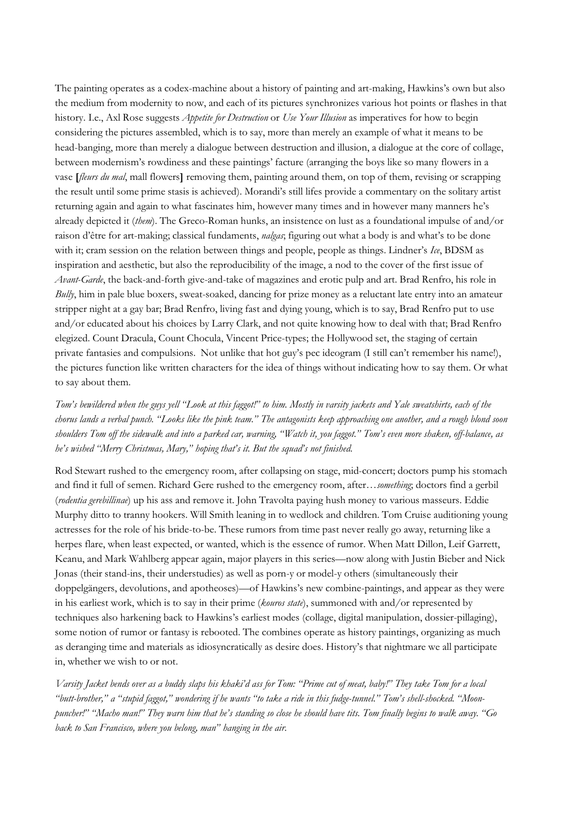The painting operates as a codex-machine about a history of painting and art-making, Hawkins's own but also the medium from modernity to now, and each of its pictures synchronizes various hot points or flashes in that history. I.e., Axl Rose suggests *Appetite for Destruction* or *Use Your Illusion* as imperatives for how to begin considering the pictures assembled, which is to say, more than merely an example of what it means to be head-banging, more than merely a dialogue between destruction and illusion, a dialogue at the core of collage, between modernism's rowdiness and these paintings' facture (arranging the boys like so many flowers in a vase **[***fleurs du mal*, mall flowers**]** removing them, painting around them, on top of them, revising or scrapping the result until some prime stasis is achieved). Morandi's still lifes provide a commentary on the solitary artist returning again and again to what fascinates him, however many times and in however many manners he's already depicted it (*them*). The Greco-Roman hunks, an insistence on lust as a foundational impulse of and/or raison d'être for art-making; classical fundaments, *nalgas*; figuring out what a body is and what's to be done with it; cram session on the relation between things and people, people as things. Lindner's *Ice*, BDSM as inspiration and aesthetic, but also the reproducibility of the image, a nod to the cover of the first issue of *Avant-Garde*, the back-and-forth give-and-take of magazines and erotic pulp and art. Brad Renfro, his role in *Bully*, him in pale blue boxers, sweat-soaked, dancing for prize money as a reluctant late entry into an amateur stripper night at a gay bar; Brad Renfro, living fast and dying young, which is to say, Brad Renfro put to use and/or educated about his choices by Larry Clark, and not quite knowing how to deal with that; Brad Renfro elegized. Count Dracula, Count Chocula, Vincent Price-types; the Hollywood set, the staging of certain private fantasies and compulsions. Not unlike that hot guy's pec ideogram (I still can't remember his name!), the pictures function like written characters for the idea of things without indicating how to say them. Or what to say about them.

*Tom's bewildered when the guys yell "Look at this faggot!" to him. Mostly in varsity jackets and Yale sweatshirts, each of the chorus lands a verbal punch. "Looks like the pink team." The antagonists keep approaching one another, and a rough blond soon shoulders Tom off the sidewalk and into a parked car, warning, "Watch it, you faggot." Tom's even more shaken, off-balance, as he's wished "Merry Christmas, Mary," hoping that's it. But the squad's not finished.* 

Rod Stewart rushed to the emergency room, after collapsing on stage, mid-concert; doctors pump his stomach and find it full of semen. Richard Gere rushed to the emergency room, after…*something*; doctors find a gerbil (*rodentia gerebillinae*) up his ass and remove it. John Travolta paying hush money to various masseurs. Eddie Murphy ditto to tranny hookers. Will Smith leaning in to wedlock and children. Tom Cruise auditioning young actresses for the role of his bride-to-be. These rumors from time past never really go away, returning like a herpes flare, when least expected, or wanted, which is the essence of rumor. When Matt Dillon, Leif Garrett, Keanu, and Mark Wahlberg appear again, major players in this series—now along with Justin Bieber and Nick Jonas (their stand-ins, their understudies) as well as porn-y or model-y others (simultaneously their doppelgängers, devolutions, and apotheoses)—of Hawkins's new combine-paintings, and appear as they were in his earliest work, which is to say in their prime (*kouros state*), summoned with and/or represented by techniques also harkening back to Hawkins's earliest modes (collage, digital manipulation, dossier-pillaging), some notion of rumor or fantasy is rebooted. The combines operate as history paintings, organizing as much as deranging time and materials as idiosyncratically as desire does. History's that nightmare we all participate in, whether we wish to or not.

*Varsity Jacket bends over as a buddy slaps his khaki'd ass for Tom: "Prime cut of meat, baby!" They take Tom for a local "butt-brother," a "stupid faggot," wondering if he wants "to take a ride in this fudge-tunnel." Tom's shell-shocked. "Moonpuncher!" "Macho man!" They warn him that he's standing so close he should have tits. Tom finally begins to walk away. "Go back to San Francisco, where you belong, man" hanging in the air.*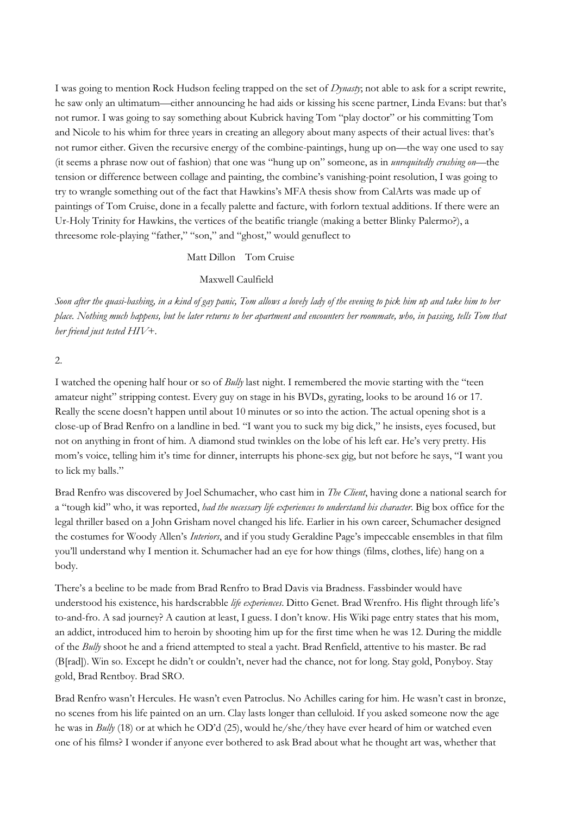I was going to mention Rock Hudson feeling trapped on the set of *Dynasty*; not able to ask for a script rewrite, he saw only an ultimatum—either announcing he had aids or kissing his scene partner, Linda Evans: but that's not rumor. I was going to say something about Kubrick having Tom "play doctor" or his committing Tom and Nicole to his whim for three years in creating an allegory about many aspects of their actual lives: that's not rumor either. Given the recursive energy of the combine-paintings, hung up on—the way one used to say (it seems a phrase now out of fashion) that one was "hung up on" someone, as in *unrequitedly crushing on*—the tension or difference between collage and painting, the combine's vanishing-point resolution, I was going to try to wrangle something out of the fact that Hawkins's MFA thesis show from CalArts was made up of paintings of Tom Cruise, done in a fecally palette and facture, with forlorn textual additions. If there were an Ur-Holy Trinity for Hawkins, the vertices of the beatific triangle (making a better Blinky Palermo?), a threesome role-playing "father," "son," and "ghost," would genuflect to

## Matt Dillon Tom Cruise

## Maxwell Caulfield

*Soon after the quasi-bashing, in a kind of gay panic, Tom allows a lovely lady of the evening to pick him up and take him to her place. Nothing much happens, but he later returns to her apartment and encounters her roommate, who, in passing, tells Tom that her friend just tested HIV+.*

## 2.

I watched the opening half hour or so of *Bully* last night. I remembered the movie starting with the "teen amateur night" stripping contest. Every guy on stage in his BVDs, gyrating, looks to be around 16 or 17. Really the scene doesn't happen until about 10 minutes or so into the action. The actual opening shot is a close-up of Brad Renfro on a landline in bed. "I want you to suck my big dick," he insists, eyes focused, but not on anything in front of him. A diamond stud twinkles on the lobe of his left ear. He's very pretty. His mom's voice, telling him it's time for dinner, interrupts his phone-sex gig, but not before he says, "I want you to lick my balls."

Brad Renfro was discovered by Joel Schumacher, who cast him in *The Client*, having done a national search for a "tough kid" who, it was reported, *had the necessary life experiences to understand his character*. Big box office for the legal thriller based on a John Grisham novel changed his life. Earlier in his own career, Schumacher designed the costumes for Woody Allen's *Interiors*, and if you study Geraldine Page's impeccable ensembles in that film you'll understand why I mention it. Schumacher had an eye for how things (films, clothes, life) hang on a body.

There's a beeline to be made from Brad Renfro to Brad Davis via Bradness. Fassbinder would have understood his existence, his hardscrabble *life experiences*. Ditto Genet. Brad Wrenfro. His flight through life's to-and-fro. A sad journey? A caution at least, I guess. I don't know. His Wiki page entry states that his mom, an addict, introduced him to heroin by shooting him up for the first time when he was 12. During the middle of the *Bully* shoot he and a friend attempted to steal a yacht. Brad Renfield, attentive to his master. Be rad (B[rad]). Win so. Except he didn't or couldn't, never had the chance, not for long. Stay gold, Ponyboy. Stay gold, Brad Rentboy. Brad SRO.

Brad Renfro wasn't Hercules. He wasn't even Patroclus. No Achilles caring for him. He wasn't cast in bronze, no scenes from his life painted on an urn. Clay lasts longer than celluloid. If you asked someone now the age he was in *Bully* (18) or at which he OD'd (25), would he/she/they have ever heard of him or watched even one of his films? I wonder if anyone ever bothered to ask Brad about what he thought art was, whether that